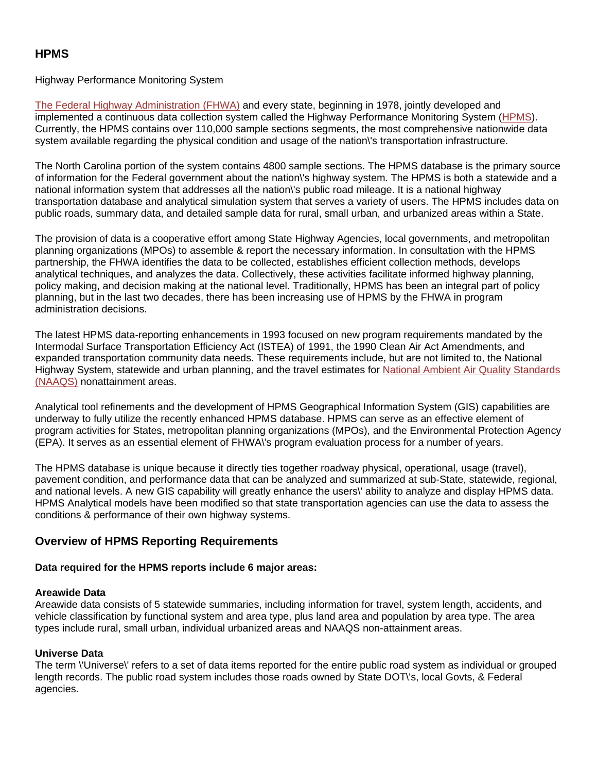### Highway Performance Monitoring System

[The Federal Highway Administration \(FHWA\)](http://www.fhwa.dot.gov/) and every state, beginning in 1978, jointly developed and implemented a continuous data collection system called the Highway Performance Monitoring System [\(HPMS](http://www.fhwa.dot.gov/ohim/hpmspage.htm)). Currently, the HPMS contains over 110,000 sample sections segments, the most comprehensive nationwide data system available regarding the physical condition and usage of the nation\'s transportation infrastructure.

The North Carolina portion of the system contains 4800 sample sections. The HPMS database is the primary source of information for the Federal government about the nation\'s highway system. The HPMS is both a statewide and a national information system that addresses all the nation\'s public road mileage. It is a national highway transportation database and analytical simulation system that serves a variety of users. The HPMS includes data on public roads, summary data, and detailed sample data for rural, small urban, and urbanized areas within a State.

The provision of data is a cooperative effort among State Highway Agencies, local governments, and metropolitan planning organizations (MPOs) to assemble & report the necessary information. In consultation with the HPMS partnership, the FHWA identifies the data to be collected, establishes efficient collection methods, develops analytical techniques, and analyzes the data. Collectively, these activities facilitate informed highway planning, policy making, and decision making at the national level. Traditionally, HPMS has been an integral part of policy planning, but in the last two decades, there has been increasing use of HPMS by the FHWA in program administration decisions.

The latest HPMS data-reporting enhancements in 1993 focused on new program requirements mandated by the Intermodal Surface Transportation Efficiency Act (ISTEA) of 1991, the 1990 Clean Air Act Amendments, and expanded transportation community data needs. These requirements include, but are not limited to, the National Highway System, statewide and urban planning, and the travel estimates for [National Ambient Air Quality Standards](http://www.epa.gov/oar/oaqps/greenbk/index.html)  [\(NAAQS\)](http://www.epa.gov/oar/oaqps/greenbk/index.html) nonattainment areas.

Analytical tool refinements and the development of HPMS Geographical Information System (GIS) capabilities are underway to fully utilize the recently enhanced HPMS database. HPMS can serve as an effective element of program activities for States, metropolitan planning organizations (MPOs), and the Environmental Protection Agency (EPA). It serves as an essential element of FHWA\'s program evaluation process for a number of years.

The HPMS database is unique because it directly ties together roadway physical, operational, usage (travel), pavement condition, and performance data that can be analyzed and summarized at sub-State, statewide, regional, and national levels. A new GIS capability will greatly enhance the users\' ability to analyze and display HPMS data. HPMS Analytical models have been modified so that state transportation agencies can use the data to assess the conditions & performance of their own highway systems.

# **Overview of HPMS Reporting Requirements**

### **Data required for the HPMS reports include 6 major areas:**

#### **Areawide Data**

Areawide data consists of 5 statewide summaries, including information for travel, system length, accidents, and vehicle classification by functional system and area type, plus land area and population by area type. The area types include rural, small urban, individual urbanized areas and NAAQS non-attainment areas.

### **Universe Data**

The term \'Universe\' refers to a set of data items reported for the entire public road system as individual or grouped length records. The public road system includes those roads owned by State DOT\'s, local Govts, & Federal agencies.